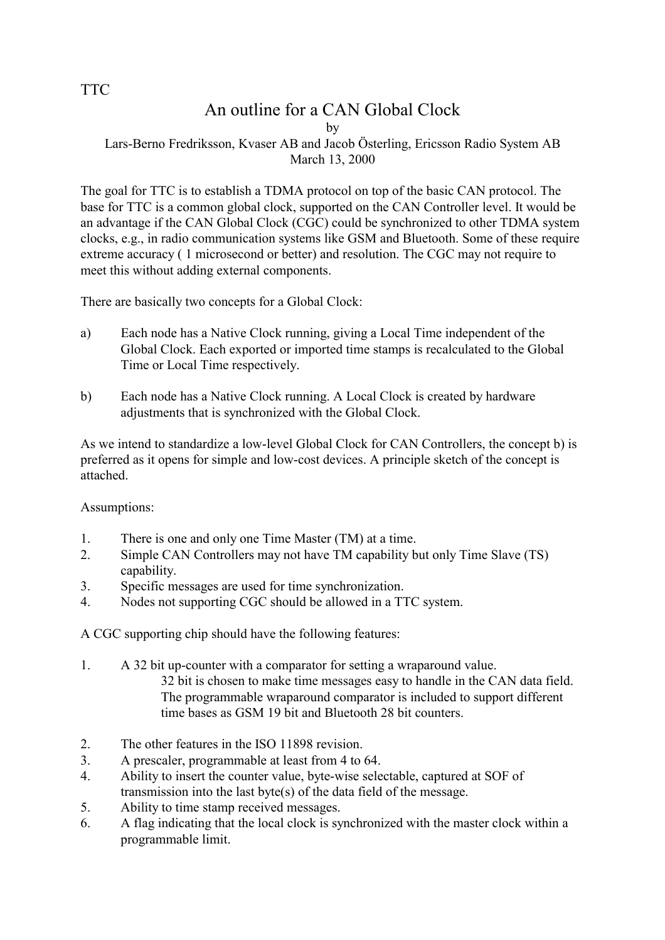## TTC

# An outline for a CAN Global Clock

by

### Lars-Berno Fredriksson, Kvaser AB and Jacob Österling, Ericsson Radio System AB March 13, 2000

The goal for TTC is to establish a TDMA protocol on top of the basic CAN protocol. The base for TTC is a common global clock, supported on the CAN Controller level. It would be an advantage if the CAN Global Clock (CGC) could be synchronized to other TDMA system clocks, e.g., in radio communication systems like GSM and Bluetooth. Some of these require extreme accuracy ( 1 microsecond or better) and resolution. The CGC may not require to meet this without adding external components.

There are basically two concepts for a Global Clock:

- a) Each node has a Native Clock running, giving a Local Time independent of the Global Clock. Each exported or imported time stamps is recalculated to the Global Time or Local Time respectively.
- b) Each node has a Native Clock running. A Local Clock is created by hardware adjustments that is synchronized with the Global Clock.

As we intend to standardize a low-level Global Clock for CAN Controllers, the concept b) is preferred as it opens for simple and low-cost devices. A principle sketch of the concept is attached.

Assumptions:

- 1. There is one and only one Time Master (TM) at a time.
- 2. Simple CAN Controllers may not have TM capability but only Time Slave (TS) capability.
- 3. Specific messages are used for time synchronization.
- 4. Nodes not supporting CGC should be allowed in a TTC system.

A CGC supporting chip should have the following features:

- 1. A 32 bit up-counter with a comparator for setting a wraparound value. 32 bit is chosen to make time messages easy to handle in the CAN data field. The programmable wraparound comparator is included to support different time bases as GSM 19 bit and Bluetooth 28 bit counters.
- 2. The other features in the ISO 11898 revision.
- 3. A prescaler, programmable at least from 4 to 64.
- 4. Ability to insert the counter value, byte-wise selectable, captured at SOF of transmission into the last byte(s) of the data field of the message.
- 5. Ability to time stamp received messages.
- 6. A flag indicating that the local clock is synchronized with the master clock within a programmable limit.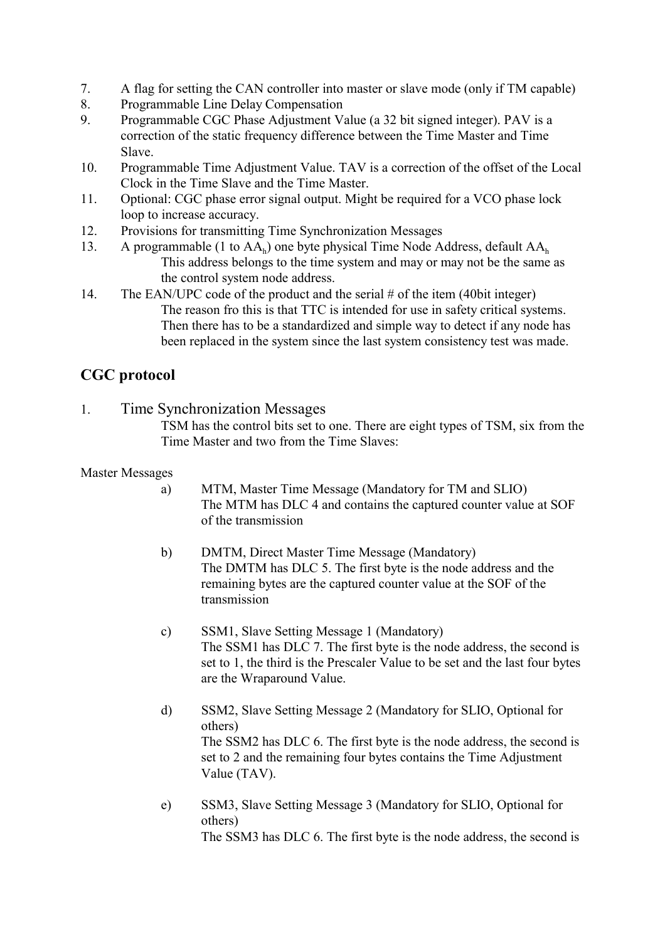- 7. A flag for setting the CAN controller into master or slave mode (only if TM capable)
- 8. Programmable Line Delay Compensation
- 9. Programmable CGC Phase Adjustment Value (a 32 bit signed integer). PAV is a correction of the static frequency difference between the Time Master and Time Slave.
- 10. Programmable Time Adjustment Value. TAV is a correction of the offset of the Local Clock in the Time Slave and the Time Master.
- 11. Optional: CGC phase error signal output. Might be required for a VCO phase lock loop to increase accuracy.
- 12. Provisions for transmitting Time Synchronization Messages
- 13. A programmable (1 to  $AA_h$ ) one byte physical Time Node Address, default  $AA_h$ This address belongs to the time system and may or may not be the same as the control system node address.
- 14. The EAN/UPC code of the product and the serial # of the item (40bit integer) The reason fro this is that TTC is intended for use in safety critical systems. Then there has to be a standardized and simple way to detect if any node has been replaced in the system since the last system consistency test was made.

## **CGC protocol**

1. Time Synchronization Messages

TSM has the control bits set to one. There are eight types of TSM, six from the Time Master and two from the Time Slaves:

## Master Messages

- a) MTM, Master Time Message (Mandatory for TM and SLIO) The MTM has DLC 4 and contains the captured counter value at SOF of the transmission
- b) DMTM, Direct Master Time Message (Mandatory) The DMTM has DLC 5. The first byte is the node address and the remaining bytes are the captured counter value at the SOF of the transmission
- c) SSM1, Slave Setting Message 1 (Mandatory) The SSM1 has DLC 7. The first byte is the node address, the second is set to 1, the third is the Prescaler Value to be set and the last four bytes are the Wraparound Value.
- d) SSM2, Slave Setting Message 2 (Mandatory for SLIO, Optional for others) The SSM2 has DLC 6. The first byte is the node address, the second is set to 2 and the remaining four bytes contains the Time Adjustment Value (TAV).
- e) SSM3, Slave Setting Message 3 (Mandatory for SLIO, Optional for others) The SSM3 has DLC 6. The first byte is the node address, the second is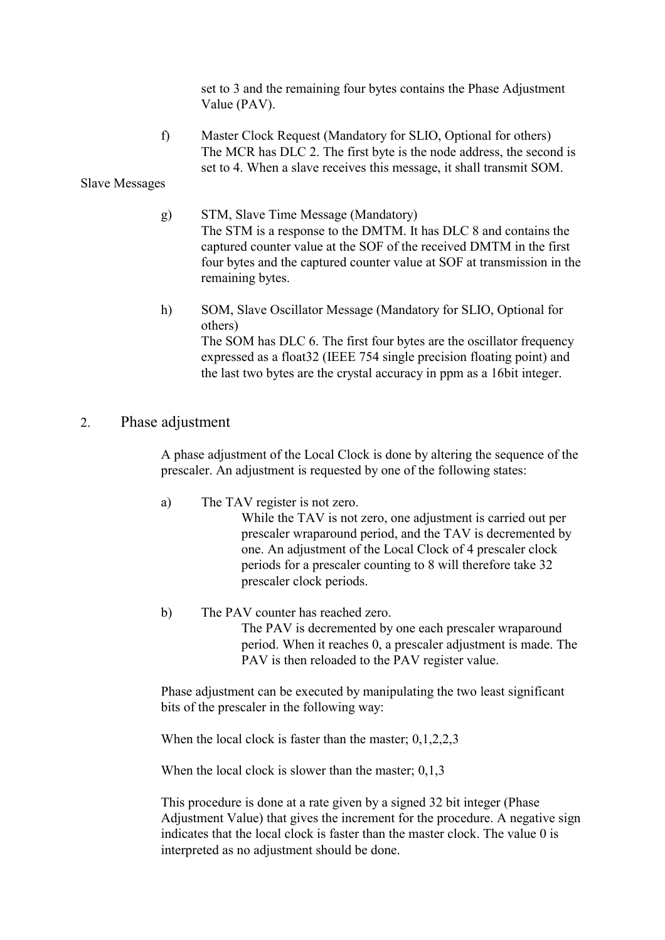set to 3 and the remaining four bytes contains the Phase Adjustment Value (PAV).

f) Master Clock Request (Mandatory for SLIO, Optional for others) The MCR has DLC 2. The first byte is the node address, the second is set to 4. When a slave receives this message, it shall transmit SOM.

Slave Messages

- g) STM, Slave Time Message (Mandatory) The STM is a response to the DMTM. It has DLC 8 and contains the captured counter value at the SOF of the received DMTM in the first four bytes and the captured counter value at SOF at transmission in the remaining bytes.
- h) SOM, Slave Oscillator Message (Mandatory for SLIO, Optional for others) The SOM has DLC 6. The first four bytes are the oscillator frequency expressed as a float32 (IEEE 754 single precision floating point) and the last two bytes are the crystal accuracy in ppm as a 16bit integer.

#### 2. Phase adjustment

A phase adjustment of the Local Clock is done by altering the sequence of the prescaler. An adjustment is requested by one of the following states:

a) The TAV register is not zero.

While the TAV is not zero, one adjustment is carried out per prescaler wraparound period, and the TAV is decremented by one. An adjustment of the Local Clock of 4 prescaler clock periods for a prescaler counting to 8 will therefore take 32 prescaler clock periods.

b) The PAV counter has reached zero. The PAV is decremented by one each prescaler wraparound period. When it reaches 0, a prescaler adjustment is made. The PAV is then reloaded to the PAV register value.

Phase adjustment can be executed by manipulating the two least significant bits of the prescaler in the following way:

When the local clock is faster than the master; 0,1,2,2,3

When the local clock is slower than the master; 0,1,3

This procedure is done at a rate given by a signed 32 bit integer (Phase Adjustment Value) that gives the increment for the procedure. A negative sign indicates that the local clock is faster than the master clock. The value 0 is interpreted as no adjustment should be done.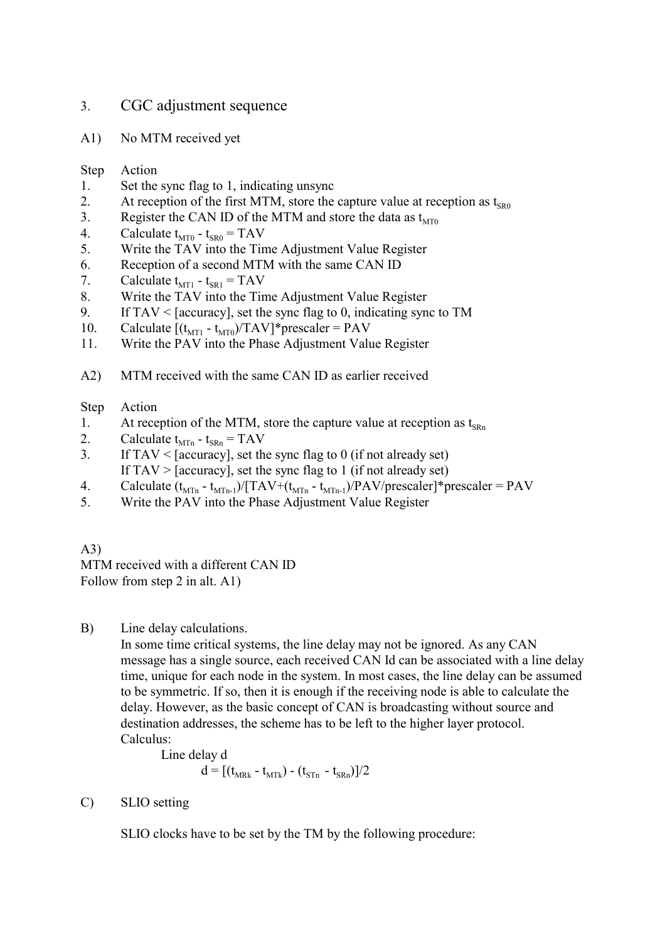### 3. CGC adjustment sequence

A1) No MTM received yet

#### Step Action

- 1. Set the sync flag to 1, indicating unsync
- 2. At reception of the first MTM, store the capture value at reception as  $t_{SRO}$
- 3. Register the CAN ID of the MTM and store the data as  $t_{\text{MT0}}$
- 4. Calculate  $t_{MT0}$   $t_{SR0}$  = TAV
- 5. Write the TAV into the Time Adjustment Value Register
- 6. Reception of a second MTM with the same CAN ID
- 7. Calculate  $t_{MT1} t_{SR1} = TAV$ <br>8. Write the TAV into the Tin
- Write the TAV into the Time Adjustment Value Register
- 9. If TAV < [accuracy], set the sync flag to 0, indicating sync to TM
- 10. Calculate  $[(t_{MT1} t_{MT0})/TAV]$ \*prescaler = PAV<br>11. Write the PAV into the Phase Adjustment Value
- Write the PAV into the Phase Adjustment Value Register
- A2) MTM received with the same CAN ID as earlier received

#### Step Action

- 1. At reception of the MTM, store the capture value at reception as  $t_{SRn}$ <br>2 Calculate  $t_{ST}$   $t_{SR}$  = TAV
- Calculate  $t_{\text{MTn}}$   $t_{\text{SRn}}$  = TAV
- 3. If  $TAV \leq [accuracy]$ , set the sync flag to 0 (if not already set) If  $TAV > [accuracy]$ , set the sync flag to 1 (if not already set)
- 4. Calculate  $(t_{MTn} t_{MTn-1})/[TAV + (t_{MTn} t_{MTn-1})/PAV/prescale]$ \*prescaler = PAV
- 5. Write the PAV into the Phase Adjustment Value Register

#### A3)

MTM received with a different CAN ID Follow from step 2 in alt. A1)

B) Line delay calculations.

In some time critical systems, the line delay may not be ignored. As any CAN message has a single source, each received CAN Id can be associated with a line delay time, unique for each node in the system. In most cases, the line delay can be assumed to be symmetric. If so, then it is enough if the receiving node is able to calculate the delay. However, as the basic concept of CAN is broadcasting without source and destination addresses, the scheme has to be left to the higher layer protocol. Calculus:

Line delay d

$$
d = [(t_{MRk} - t_{MTk}) - (t_{STn} - t_{SRn})]/2
$$

C) SLIO setting

SLIO clocks have to be set by the TM by the following procedure: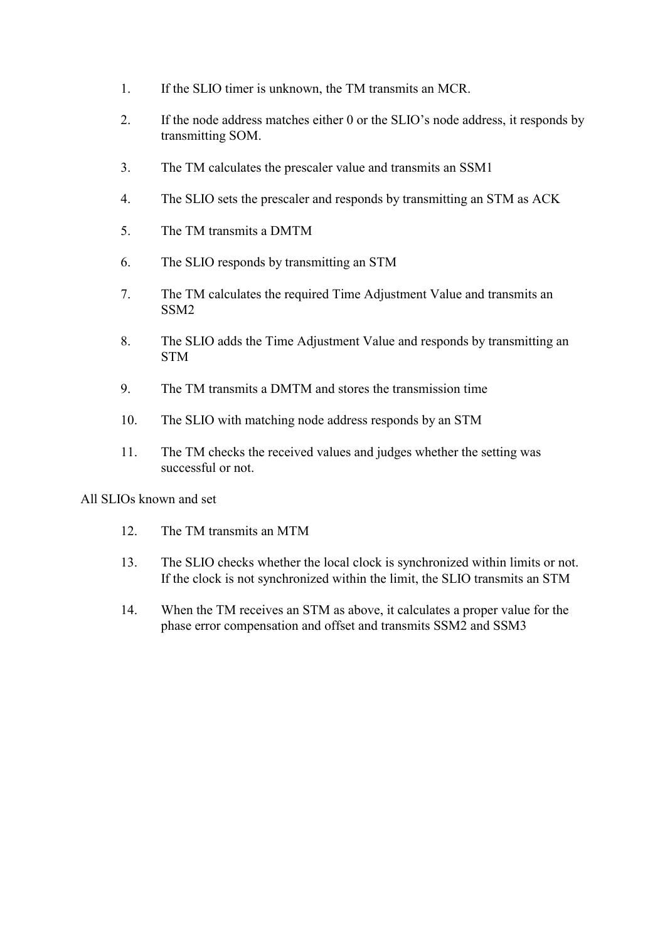- 1. If the SLIO timer is unknown, the TM transmits an MCR.
- 2. If the node address matches either 0 or the SLIO's node address, it responds by transmitting SOM.
- 3. The TM calculates the prescaler value and transmits an SSM1
- 4. The SLIO sets the prescaler and responds by transmitting an STM as ACK
- 5. The TM transmits a DMTM
- 6. The SLIO responds by transmitting an STM
- 7. The TM calculates the required Time Adjustment Value and transmits an SSM2
- 8. The SLIO adds the Time Adjustment Value and responds by transmitting an **STM**
- 9. The TM transmits a DMTM and stores the transmission time
- 10. The SLIO with matching node address responds by an STM
- 11. The TM checks the received values and judges whether the setting was successful or not.

All SLIOs known and set

- 12. The TM transmits an MTM
- 13. The SLIO checks whether the local clock is synchronized within limits or not. If the clock is not synchronized within the limit, the SLIO transmits an STM
- 14. When the TM receives an STM as above, it calculates a proper value for the phase error compensation and offset and transmits SSM2 and SSM3